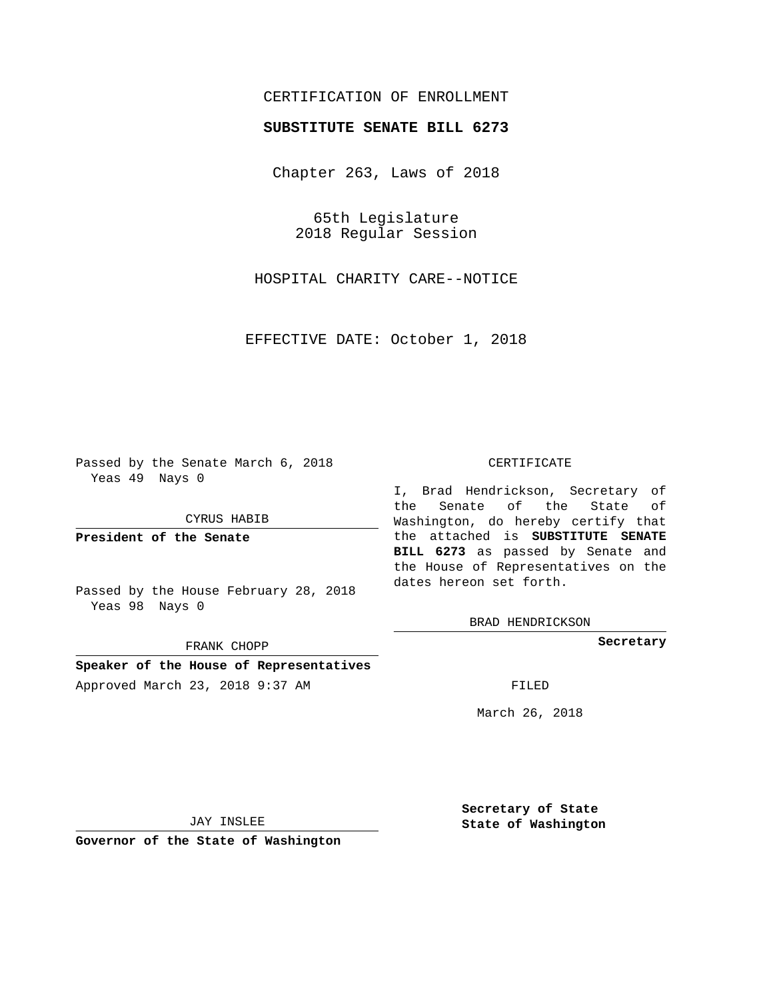## CERTIFICATION OF ENROLLMENT

### **SUBSTITUTE SENATE BILL 6273**

Chapter 263, Laws of 2018

65th Legislature 2018 Regular Session

HOSPITAL CHARITY CARE--NOTICE

EFFECTIVE DATE: October 1, 2018

Passed by the Senate March 6, 2018 Yeas 49 Nays 0

CYRUS HABIB

**President of the Senate**

Passed by the House February 28, 2018 Yeas 98 Nays 0

FRANK CHOPP

**Speaker of the House of Representatives** Approved March 23, 2018 9:37 AM FILED

#### CERTIFICATE

I, Brad Hendrickson, Secretary of the Senate of the State of Washington, do hereby certify that the attached is **SUBSTITUTE SENATE BILL 6273** as passed by Senate and the House of Representatives on the dates hereon set forth.

BRAD HENDRICKSON

**Secretary**

March 26, 2018

JAY INSLEE

**Governor of the State of Washington**

**Secretary of State State of Washington**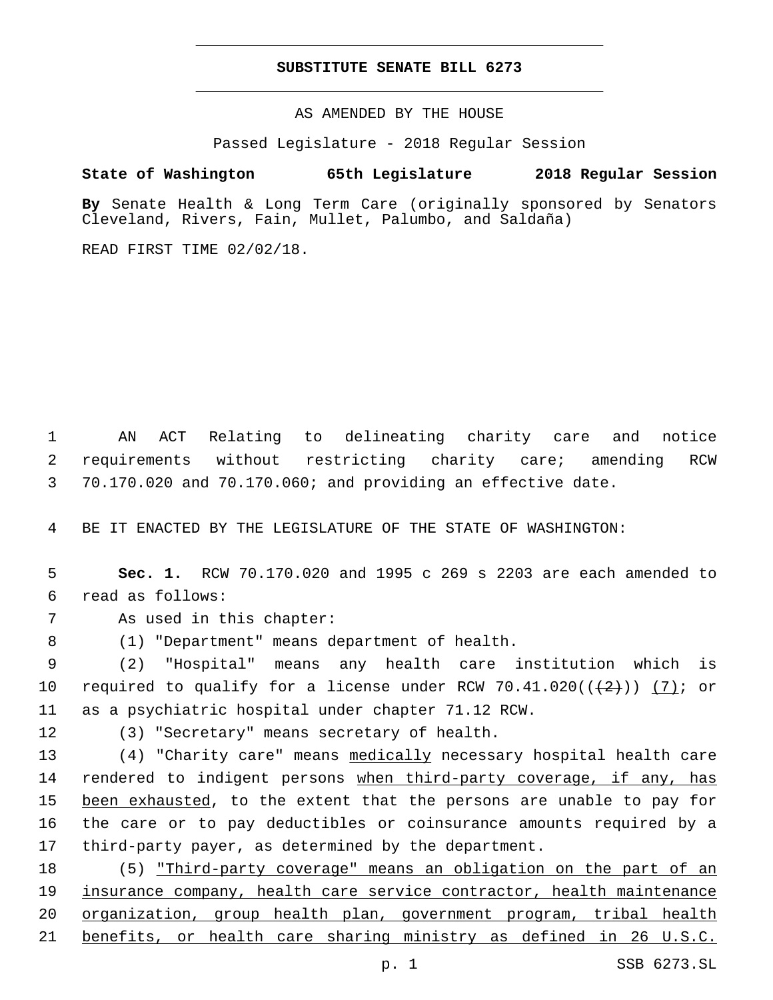### **SUBSTITUTE SENATE BILL 6273**

AS AMENDED BY THE HOUSE

Passed Legislature - 2018 Regular Session

# **State of Washington 65th Legislature 2018 Regular Session**

**By** Senate Health & Long Term Care (originally sponsored by Senators Cleveland, Rivers, Fain, Mullet, Palumbo, and Saldaña)

READ FIRST TIME 02/02/18.

1 AN ACT Relating to delineating charity care and notice 2 requirements without restricting charity care; amending RCW 3 70.170.020 and 70.170.060; and providing an effective date.

4 BE IT ENACTED BY THE LEGISLATURE OF THE STATE OF WASHINGTON:

5 **Sec. 1.** RCW 70.170.020 and 1995 c 269 s 2203 are each amended to read as follows:6

7 As used in this chapter:

(1) "Department" means department of health.8

9 (2) "Hospital" means any health care institution which is 10 required to qualify for a license under RCW  $70.41.020((+2))$  (7); or 11 as a psychiatric hospital under chapter 71.12 RCW.

12 (3) "Secretary" means secretary of health.

 (4) "Charity care" means medically necessary hospital health care rendered to indigent persons when third-party coverage, if any, has 15 been exhausted, to the extent that the persons are unable to pay for the care or to pay deductibles or coinsurance amounts required by a third-party payer, as determined by the department.

 (5) "Third-party coverage" means an obligation on the part of an insurance company, health care service contractor, health maintenance organization, group health plan, government program, tribal health benefits, or health care sharing ministry as defined in 26 U.S.C.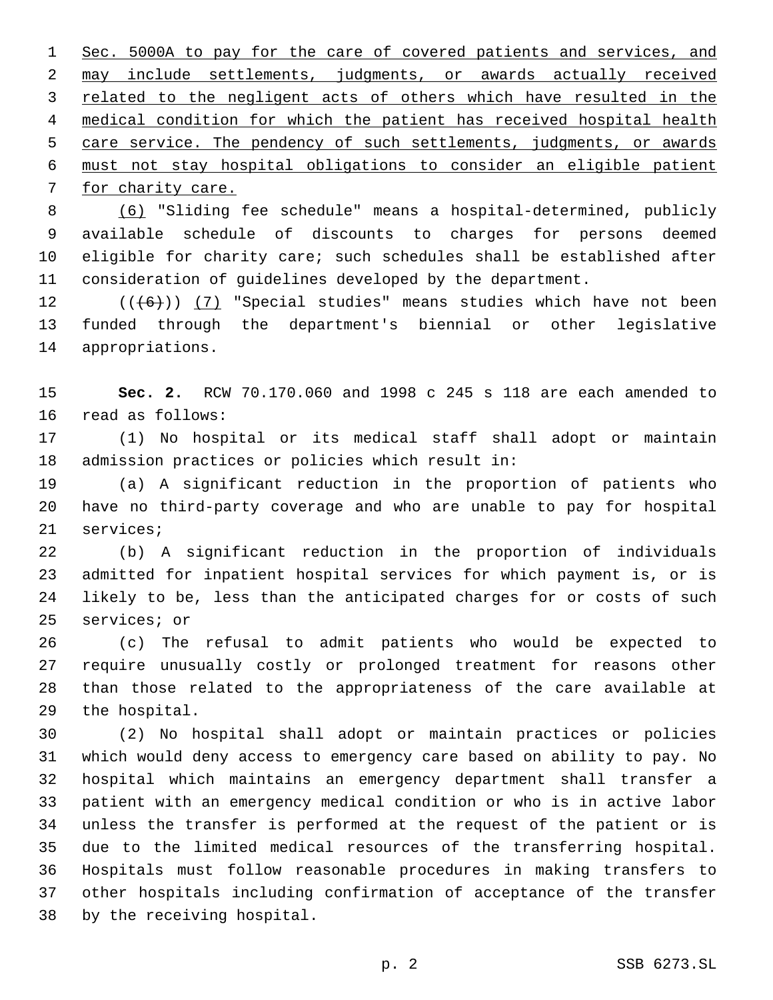Sec. 5000A to pay for the care of covered patients and services, and may include settlements, judgments, or awards actually received related to the negligent acts of others which have resulted in the medical condition for which the patient has received hospital health care service. The pendency of such settlements, judgments, or awards must not stay hospital obligations to consider an eligible patient 7 for charity care.

 (6) "Sliding fee schedule" means a hospital-determined, publicly available schedule of discounts to charges for persons deemed eligible for charity care; such schedules shall be established after consideration of guidelines developed by the department.

12  $((+6))$  (7) "Special studies" means studies which have not been funded through the department's biennial or other legislative 14 appropriations.

 **Sec. 2.** RCW 70.170.060 and 1998 c 245 s 118 are each amended to 16 read as follows:

 (1) No hospital or its medical staff shall adopt or maintain 18 admission practices or policies which result in:

 (a) A significant reduction in the proportion of patients who have no third-party coverage and who are unable to pay for hospital 21 services;

 (b) A significant reduction in the proportion of individuals admitted for inpatient hospital services for which payment is, or is likely to be, less than the anticipated charges for or costs of such 25 services; or

 (c) The refusal to admit patients who would be expected to require unusually costly or prolonged treatment for reasons other than those related to the appropriateness of the care available at 29 the hospital.

 (2) No hospital shall adopt or maintain practices or policies which would deny access to emergency care based on ability to pay. No hospital which maintains an emergency department shall transfer a patient with an emergency medical condition or who is in active labor unless the transfer is performed at the request of the patient or is due to the limited medical resources of the transferring hospital. Hospitals must follow reasonable procedures in making transfers to other hospitals including confirmation of acceptance of the transfer 38 by the receiving hospital.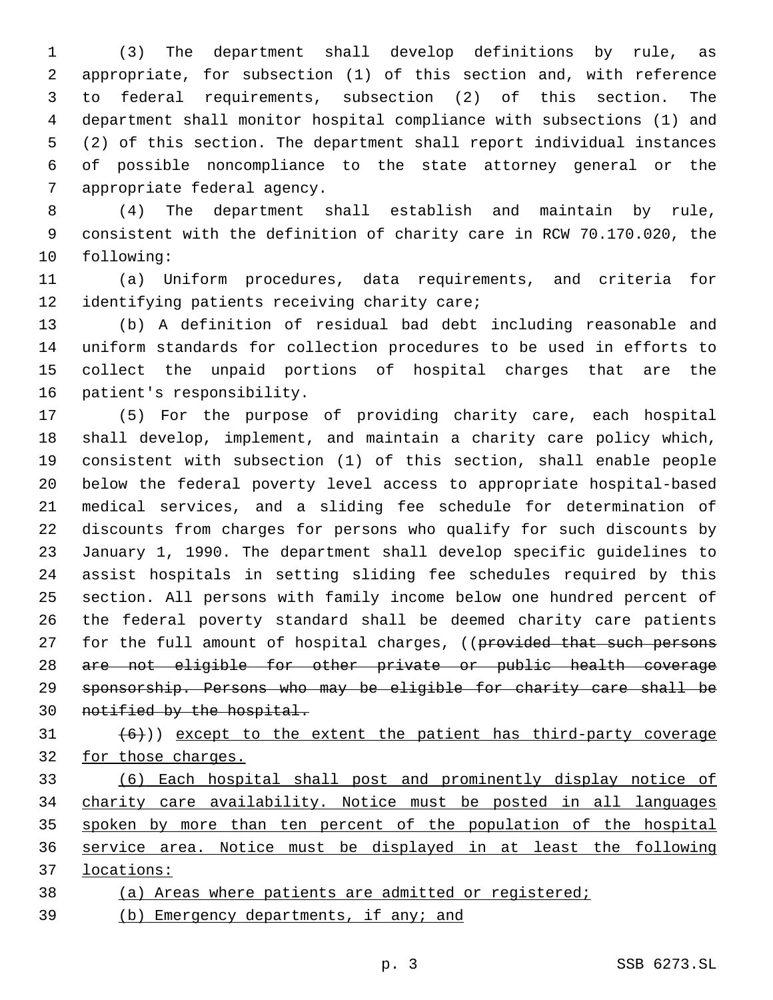(3) The department shall develop definitions by rule, as appropriate, for subsection (1) of this section and, with reference to federal requirements, subsection (2) of this section. The department shall monitor hospital compliance with subsections (1) and (2) of this section. The department shall report individual instances of possible noncompliance to the state attorney general or the 7 appropriate federal agency.

 (4) The department shall establish and maintain by rule, consistent with the definition of charity care in RCW 70.170.020, the 10 following:

 (a) Uniform procedures, data requirements, and criteria for 12 identifying patients receiving charity care;

 (b) A definition of residual bad debt including reasonable and uniform standards for collection procedures to be used in efforts to collect the unpaid portions of hospital charges that are the 16 patient's responsibility.

 (5) For the purpose of providing charity care, each hospital shall develop, implement, and maintain a charity care policy which, consistent with subsection (1) of this section, shall enable people below the federal poverty level access to appropriate hospital-based medical services, and a sliding fee schedule for determination of discounts from charges for persons who qualify for such discounts by January 1, 1990. The department shall develop specific guidelines to assist hospitals in setting sliding fee schedules required by this section. All persons with family income below one hundred percent of the federal poverty standard shall be deemed charity care patients 27 for the full amount of hospital charges, ((provided that such persons are not eligible for other private or public health coverage sponsorship. Persons who may be eligible for charity care shall be notified by the hospital.

 $(6)$ )) except to the extent the patient has third-party coverage for those charges.

 (6) Each hospital shall post and prominently display notice of charity care availability. Notice must be posted in all languages 35 spoken by more than ten percent of the population of the hospital service area. Notice must be displayed in at least the following locations:

(a) Areas where patients are admitted or registered;

39 (b) Emergency departments, if any; and

p. 3 SSB 6273.SL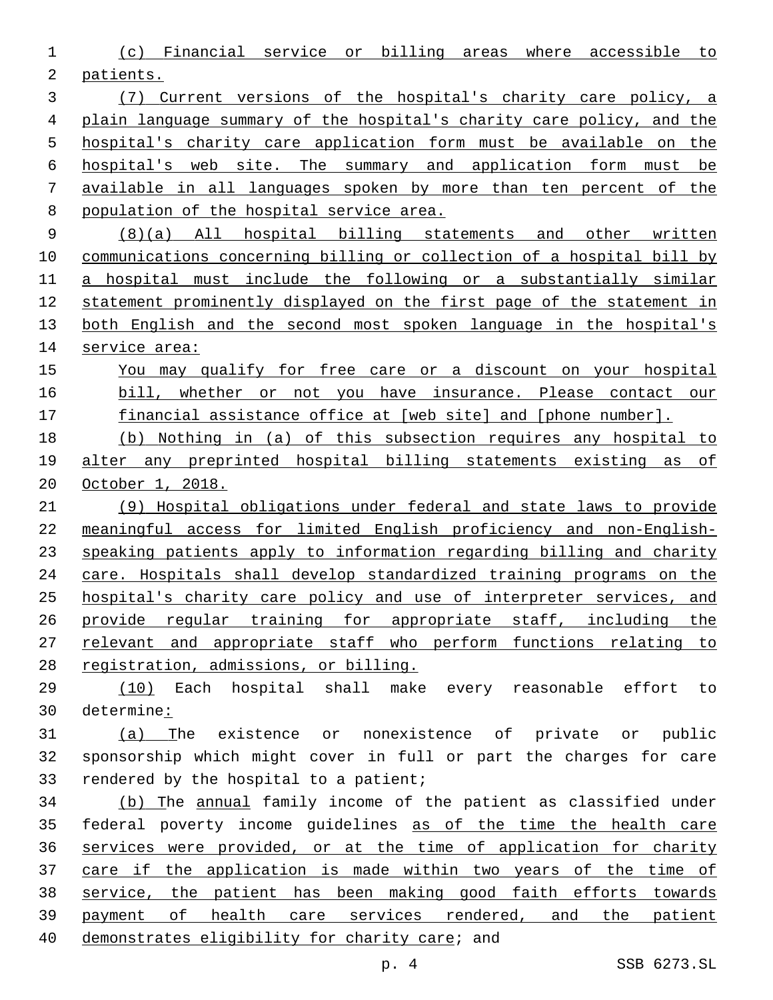(c) Financial service or billing areas where accessible to patients.

 (7) Current versions of the hospital's charity care policy, a plain language summary of the hospital's charity care policy, and the hospital's charity care application form must be available on the hospital's web site. The summary and application form must be available in all languages spoken by more than ten percent of the population of the hospital service area.

 (8)(a) All hospital billing statements and other written communications concerning billing or collection of a hospital bill by a hospital must include the following or a substantially similar statement prominently displayed on the first page of the statement in both English and the second most spoken language in the hospital's 14 service area:

 You may qualify for free care or a discount on your hospital bill, whether or not you have insurance. Please contact our 17 financial assistance office at [web site] and [phone number].

 (b) Nothing in (a) of this subsection requires any hospital to alter any preprinted hospital billing statements existing as of October 1, 2018.

 (9) Hospital obligations under federal and state laws to provide meaningful access for limited English proficiency and non-English- speaking patients apply to information regarding billing and charity care. Hospitals shall develop standardized training programs on the hospital's charity care policy and use of interpreter services, and provide regular training for appropriate staff, including the relevant and appropriate staff who perform functions relating to registration, admissions, or billing.

 (10) Each hospital shall make every reasonable effort to determine:

 (a) The existence or nonexistence of private or public sponsorship which might cover in full or part the charges for care 33 rendered by the hospital to a patient;

 (b) The annual family income of the patient as classified under federal poverty income guidelines as of the time the health care services were provided, or at the time of application for charity 37 care if the application is made within two years of the time of service, the patient has been making good faith efforts towards payment of health care services rendered, and the patient 40 demonstrates eligibility for charity care; and